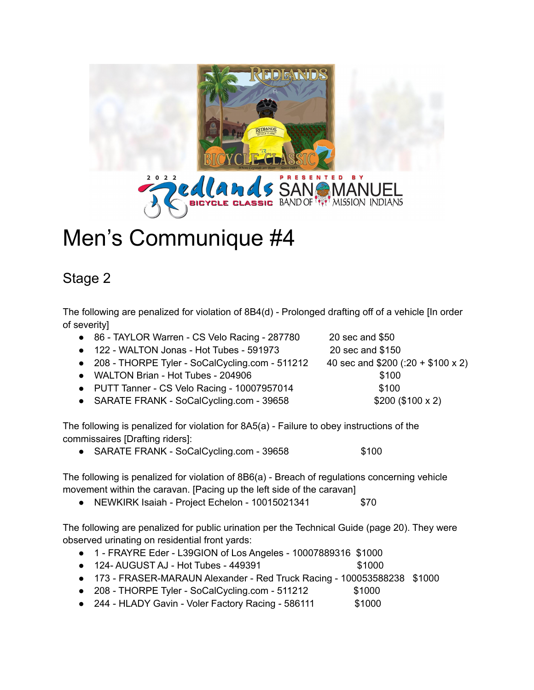

## Men's Communique #4

## Stage 2

The following are penalized for violation of 8B4(d) - Prolonged drafting off of a vehicle [In order of severity]

| • 86 - TAYLOR Warren - CS Velo Racing - 287780   | 20 sec and \$50                     |
|--------------------------------------------------|-------------------------------------|
| • 122 - WALTON Jonas - Hot Tubes - 591973        | 20 sec and \$150                    |
| • 208 - THORPE Tyler - SoCalCycling.com - 511212 | 40 sec and $$200$ (:20 + \$100 x 2) |
| • WALTON Brian - Hot Tubes - 204906              | \$100                               |
| • PUTT Tanner - CS Velo Racing - 10007957014     | \$100                               |
| • SARATE FRANK - SoCalCycling.com - 39658        | \$200 (\$100 x 2)                   |
|                                                  |                                     |

The following is penalized for violation for 8A5(a) - Failure to obey instructions of the commissaires [Drafting riders]:

● SARATE FRANK - SoCalCycling.com - 39658 \$100

The following is penalized for violation of 8B6(a) - Breach of regulations concerning vehicle movement within the caravan. [Pacing up the left side of the caravan]

● NEWKIRK Isaiah - Project Echelon - 10015021341 \$70

The following are penalized for public urination per the Technical Guide (page 20). They were observed urinating on residential front yards:

- 1 FRAYRE Eder L39GION of Los Angeles 10007889316 \$1000
- 124- AUGUST AJ Hot Tubes 449391 \$1000
- 173 FRASER-MARAUN Alexander Red Truck Racing 100053588238 \$1000
- 208 THORPE Tyler SoCalCycling.com 511212 \$1000
- 244 HLADY Gavin Voler Factory Racing 586111 \$1000